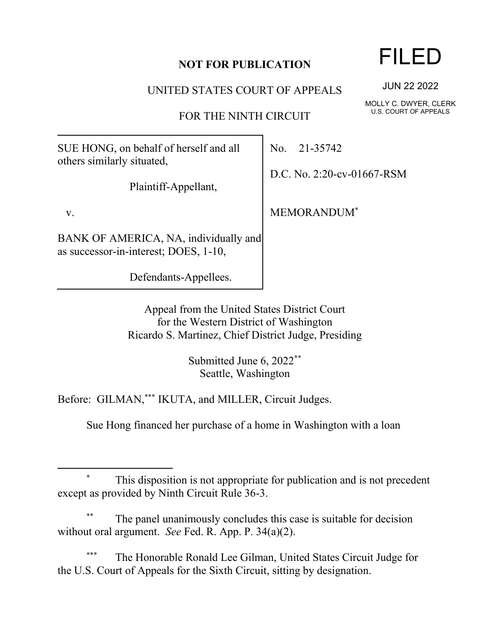## **NOT FOR PUBLICATION**

UNITED STATES COURT OF APPEALS

FOR THE NINTH CIRCUIT

SUE HONG, on behalf of herself and all others similarly situated,

Plaintiff-Appellant,

v.

BANK OF AMERICA, NA, individually and as successor-in-interest; DOES, 1-10,

Defendants-Appellees.

No. 21-35742

D.C. No. 2:20-cv-01667-RSM

MEMORANDUM\*

Appeal from the United States District Court for the Western District of Washington Ricardo S. Martinez, Chief District Judge, Presiding

> Submitted June 6, 2022\*\* Seattle, Washington

Before: GILMAN,\*\*\* IKUTA, and MILLER, Circuit Judges.

Sue Hong financed her purchase of a home in Washington with a loan

The panel unanimously concludes this case is suitable for decision without oral argument. *See* Fed. R. App. P. 34(a)(2).

The Honorable Ronald Lee Gilman, United States Circuit Judge for the U.S. Court of Appeals for the Sixth Circuit, sitting by designation.

## FILED

JUN 22 2022

MOLLY C. DWYER, CLERK U.S. COURT OF APPEALS

This disposition is not appropriate for publication and is not precedent except as provided by Ninth Circuit Rule 36-3.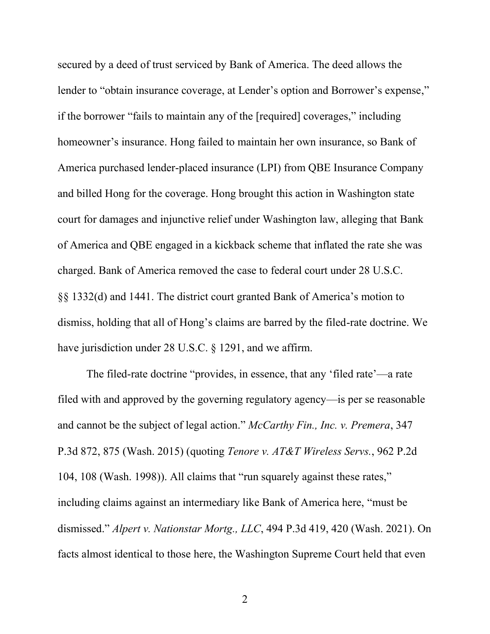secured by a deed of trust serviced by Bank of America. The deed allows the lender to "obtain insurance coverage, at Lender's option and Borrower's expense," if the borrower "fails to maintain any of the [required] coverages," including homeowner's insurance. Hong failed to maintain her own insurance, so Bank of America purchased lender-placed insurance (LPI) from QBE Insurance Company and billed Hong for the coverage. Hong brought this action in Washington state court for damages and injunctive relief under Washington law, alleging that Bank of America and QBE engaged in a kickback scheme that inflated the rate she was charged. Bank of America removed the case to federal court under 28 U.S.C. §§ 1332(d) and 1441. The district court granted Bank of America's motion to dismiss, holding that all of Hong's claims are barred by the filed-rate doctrine. We have jurisdiction under 28 U.S.C. § 1291, and we affirm.

The filed-rate doctrine "provides, in essence, that any 'filed rate'—a rate filed with and approved by the governing regulatory agency—is per se reasonable and cannot be the subject of legal action." *McCarthy Fin., Inc. v. Premera*, 347 P.3d 872, 875 (Wash. 2015) (quoting *Tenore v. AT&T Wireless Servs.*, 962 P.2d 104, 108 (Wash. 1998)). All claims that "run squarely against these rates," including claims against an intermediary like Bank of America here, "must be dismissed." *Alpert v. Nationstar Mortg., LLC*, 494 P.3d 419, 420 (Wash. 2021). On facts almost identical to those here, the Washington Supreme Court held that even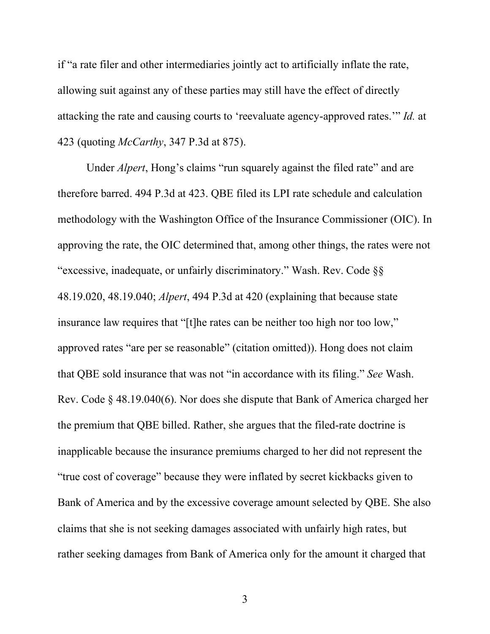if "a rate filer and other intermediaries jointly act to artificially inflate the rate, allowing suit against any of these parties may still have the effect of directly attacking the rate and causing courts to 'reevaluate agency-approved rates.'" *Id.* at 423 (quoting *McCarthy*, 347 P.3d at 875).

Under *Alpert*, Hong's claims "run squarely against the filed rate" and are therefore barred. 494 P.3d at 423. QBE filed its LPI rate schedule and calculation methodology with the Washington Office of the Insurance Commissioner (OIC). In approving the rate, the OIC determined that, among other things, the rates were not "excessive, inadequate, or unfairly discriminatory." Wash. Rev. Code §§ 48.19.020, 48.19.040; *Alpert*, 494 P.3d at 420 (explaining that because state insurance law requires that "[t]he rates can be neither too high nor too low," approved rates "are per se reasonable" (citation omitted)). Hong does not claim that QBE sold insurance that was not "in accordance with its filing." *See* Wash. Rev. Code § 48.19.040(6). Nor does she dispute that Bank of America charged her the premium that QBE billed. Rather, she argues that the filed-rate doctrine is inapplicable because the insurance premiums charged to her did not represent the "true cost of coverage" because they were inflated by secret kickbacks given to Bank of America and by the excessive coverage amount selected by QBE. She also claims that she is not seeking damages associated with unfairly high rates, but rather seeking damages from Bank of America only for the amount it charged that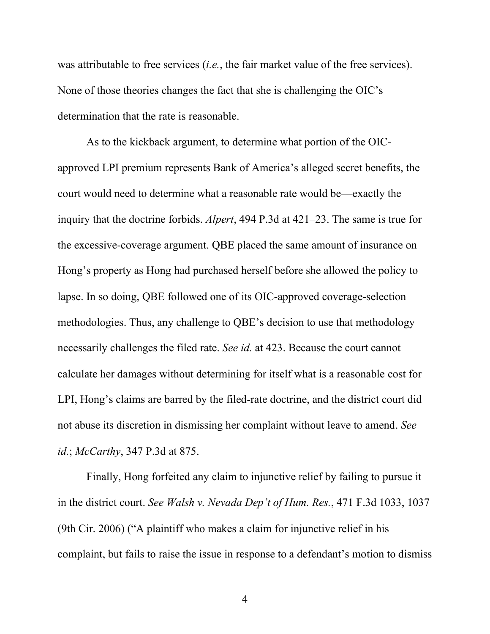was attributable to free services (*i.e.*, the fair market value of the free services). None of those theories changes the fact that she is challenging the OIC's determination that the rate is reasonable.

As to the kickback argument, to determine what portion of the OICapproved LPI premium represents Bank of America's alleged secret benefits, the court would need to determine what a reasonable rate would be—exactly the inquiry that the doctrine forbids. *Alpert*, 494 P.3d at 421–23. The same is true for the excessive-coverage argument. QBE placed the same amount of insurance on Hong's property as Hong had purchased herself before she allowed the policy to lapse. In so doing, QBE followed one of its OIC-approved coverage-selection methodologies. Thus, any challenge to QBE's decision to use that methodology necessarily challenges the filed rate. *See id.* at 423. Because the court cannot calculate her damages without determining for itself what is a reasonable cost for LPI, Hong's claims are barred by the filed-rate doctrine, and the district court did not abuse its discretion in dismissing her complaint without leave to amend. *See id.*; *McCarthy*, 347 P.3d at 875.

Finally, Hong forfeited any claim to injunctive relief by failing to pursue it in the district court. *See Walsh v. Nevada Dep't of Hum. Res.*, 471 F.3d 1033, 1037 (9th Cir. 2006) ("A plaintiff who makes a claim for injunctive relief in his complaint, but fails to raise the issue in response to a defendant's motion to dismiss

4